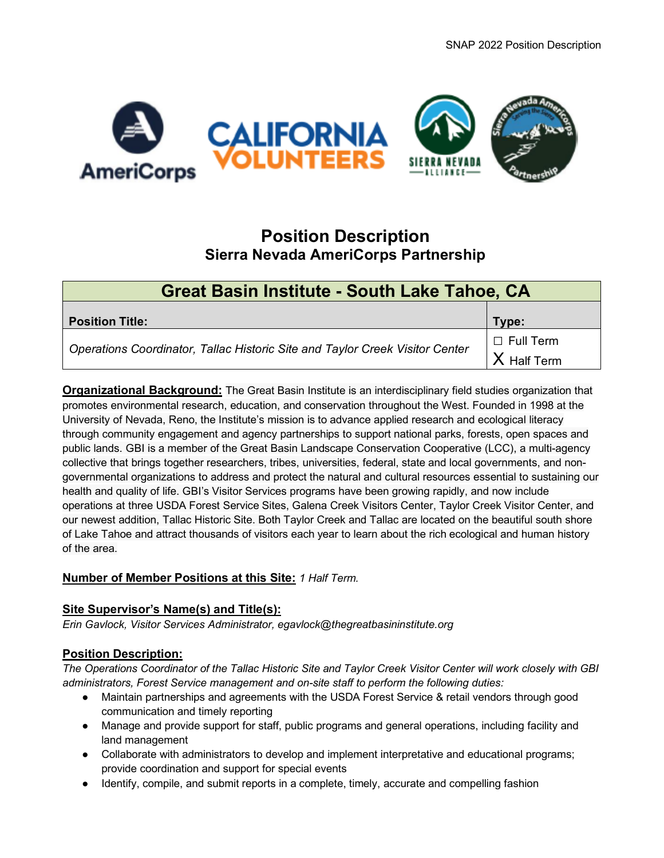SNAP 2022 Position Description



# **Position Description Sierra Nevada AmeriCorps Partnership**

| <b>Great Basin Institute - South Lake Tahoe, CA</b>                          |                                 |  |  |  |  |  |  |
|------------------------------------------------------------------------------|---------------------------------|--|--|--|--|--|--|
| <b>Position Title:</b>                                                       | Type:                           |  |  |  |  |  |  |
| Operations Coordinator, Tallac Historic Site and Taylor Creek Visitor Center | $\Box$ Full Term<br>X Half Term |  |  |  |  |  |  |

**Organizational Background:** The Great Basin Institute is an interdisciplinary field studies organization that promotes environmental research, education, and conservation throughout the West. Founded in 1998 at the University of Nevada, Reno, the Institute's mission is to advance applied research and ecological literacy through community engagement and agency partnerships to support national parks, forests, open spaces and public lands. GBI is a member of the Great Basin Landscape Conservation Cooperative (LCC), a multi-agency collective that brings together researchers, tribes, universities, federal, state and local governments, and nongovernmental organizations to address and protect the natural and cultural resources essential to sustaining our health and quality of life. GBI's Visitor Services programs have been growing rapidly, and now include operations at three USDA Forest Service Sites, Galena Creek Visitors Center, Taylor Creek Visitor Center, and our newest addition, Tallac Historic Site. Both Taylor Creek and Tallac are located on the beautiful south shore of Lake Tahoe and attract thousands of visitors each year to learn about the rich ecological and human history of the area.

## **Number of Member Positions at this Site:** *1 Half Term.*

### **Site Supervisor's Name(s) and Title(s):**

*Erin Gavlock, Visitor Services Administrator, egavlock@thegreatbasininstitute.org*

### **Position Description:**

*The Operations Coordinator of the Tallac Historic Site and Taylor Creek Visitor Center will work closely with GBI administrators, Forest Service management and on-site staff to perform the following duties:* 

- Maintain partnerships and agreements with the USDA Forest Service & retail vendors through good communication and timely reporting
- Manage and provide support for staff, public programs and general operations, including facility and land management
- Collaborate with administrators to develop and implement interpretative and educational programs; provide coordination and support for special events
- Identify, compile, and submit reports in a complete, timely, accurate and compelling fashion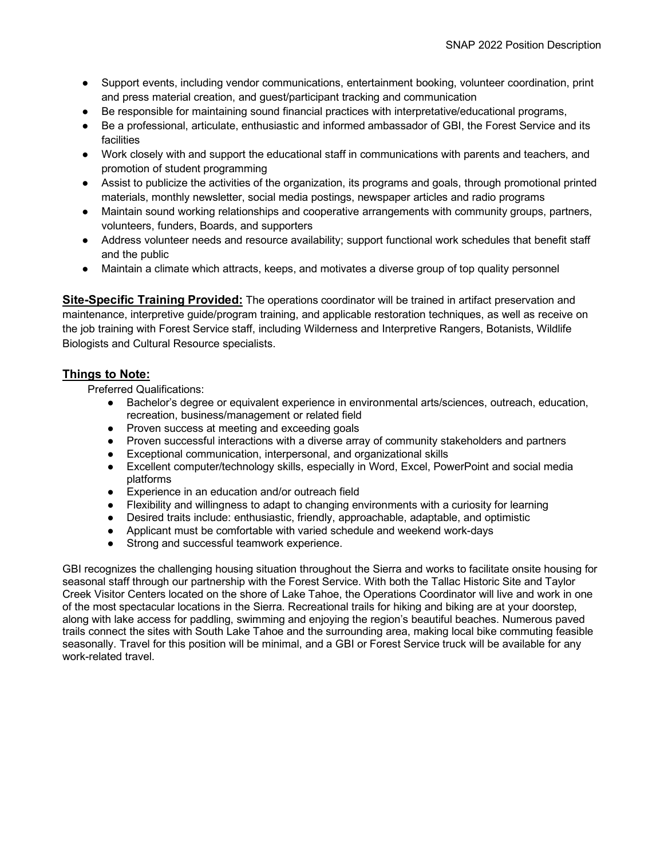- Support events, including vendor communications, entertainment booking, volunteer coordination, print and press material creation, and guest/participant tracking and communication
- Be responsible for maintaining sound financial practices with interpretative/educational programs,
- Be a professional, articulate, enthusiastic and informed ambassador of GBI, the Forest Service and its facilities
- Work closely with and support the educational staff in communications with parents and teachers, and promotion of student programming
- Assist to publicize the activities of the organization, its programs and goals, through promotional printed materials, monthly newsletter, social media postings, newspaper articles and radio programs
- Maintain sound working relationships and cooperative arrangements with community groups, partners, volunteers, funders, Boards, and supporters
- Address volunteer needs and resource availability; support functional work schedules that benefit staff and the public
- Maintain a climate which attracts, keeps, and motivates a diverse group of top quality personnel

**Site-Specific Training Provided:** The operations coordinator will be trained in artifact preservation and maintenance, interpretive guide/program training, and applicable restoration techniques, as well as receive on the job training with Forest Service staff, including Wilderness and Interpretive Rangers, Botanists, Wildlife Biologists and Cultural Resource specialists.

#### **Things to Note:**

Preferred Qualifications:

- Bachelor's degree or equivalent experience in environmental arts/sciences, outreach, education, recreation, business/management or related field
- Proven success at meeting and exceeding goals
- Proven successful interactions with a diverse array of community stakeholders and partners
- Exceptional communication, interpersonal, and organizational skills
- Excellent computer/technology skills, especially in Word, Excel, PowerPoint and social media platforms
- Experience in an education and/or outreach field
- Flexibility and willingness to adapt to changing environments with a curiosity for learning
- Desired traits include: enthusiastic, friendly, approachable, adaptable, and optimistic
- Applicant must be comfortable with varied schedule and weekend work-days
- Strong and successful teamwork experience.

GBI recognizes the challenging housing situation throughout the Sierra and works to facilitate onsite housing for seasonal staff through our partnership with the Forest Service. With both the Tallac Historic Site and Taylor Creek Visitor Centers located on the shore of Lake Tahoe, the Operations Coordinator will live and work in one of the most spectacular locations in the Sierra. Recreational trails for hiking and biking are at your doorstep, along with lake access for paddling, swimming and enjoying the region's beautiful beaches. Numerous paved trails connect the sites with South Lake Tahoe and the surrounding area, making local bike commuting feasible seasonally. Travel for this position will be minimal, and a GBI or Forest Service truck will be available for any work-related travel.